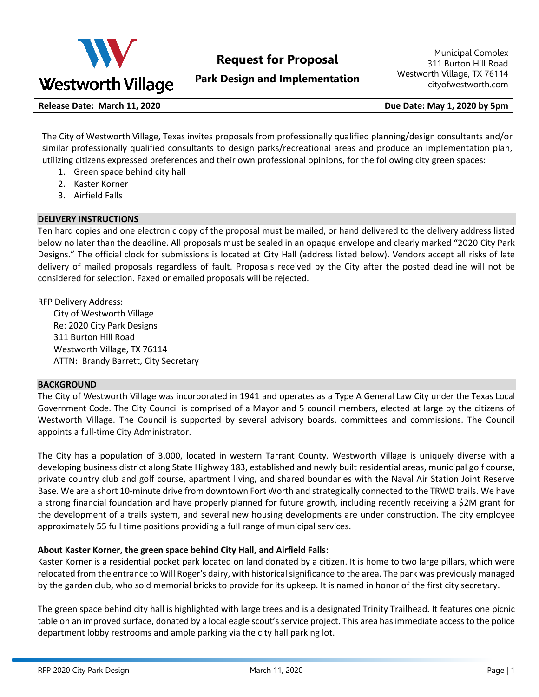

# **Request for Proposal**

**Park Design and Implementation**

Municipal Complex 311 Burton Hill Road Westworth Village, TX 76114 cityofwestworth.com

**Release Date: March 11, 2020 Due Date: May 1, 2020 by 5pm**

The City of Westworth Village, Texas invites proposals from professionally qualified planning/design consultants and/or similar professionally qualified consultants to design parks/recreational areas and produce an implementation plan, utilizing citizens expressed preferences and their own professional opinions, for the following city green spaces:

- 1. Green space behind city hall
- 2. Kaster Korner
- 3. Airfield Falls

## **DELIVERY INSTRUCTIONS**

Ten hard copies and one electronic copy of the proposal must be mailed, or hand delivered to the delivery address listed below no later than the deadline. All proposals must be sealed in an opaque envelope and clearly marked "2020 City Park Designs." The official clock for submissions is located at City Hall (address listed below). Vendors accept all risks of late delivery of mailed proposals regardless of fault. Proposals received by the City after the posted deadline will not be considered for selection. Faxed or emailed proposals will be rejected.

RFP Delivery Address:

City of Westworth Village Re: 2020 City Park Designs 311 Burton Hill Road Westworth Village, TX 76114 ATTN: Brandy Barrett, City Secretary

#### **BACKGROUND**

The City of Westworth Village was incorporated in 1941 and operates as a Type A General Law City under the Texas Local Government Code. The City Council is comprised of a Mayor and 5 council members, elected at large by the citizens of Westworth Village. The Council is supported by several advisory boards, committees and commissions. The Council appoints a full-time City Administrator.

The City has a population of 3,000, located in western Tarrant County. Westworth Village is uniquely diverse with a developing business district along State Highway 183, established and newly built residential areas, municipal golf course, private country club and golf course, apartment living, and shared boundaries with the Naval Air Station Joint Reserve Base. We are a short 10-minute drive from downtown Fort Worth and strategically connected to the TRWD trails. We have a strong financial foundation and have properly planned for future growth, including recently receiving a \$2M grant for the development of a trails system, and several new housing developments are under construction. The city employee approximately 55 full time positions providing a full range of municipal services.

## **About Kaster Korner, the green space behind City Hall, and Airfield Falls:**

Kaster Korner is a residential pocket park located on land donated by a citizen. It is home to two large pillars, which were relocated from the entrance to Will Roger's dairy, with historical significance to the area. The park was previously managed by the garden club, who sold memorial bricks to provide for its upkeep. It is named in honor of the first city secretary.

The green space behind city hall is highlighted with large trees and is a designated Trinity Trailhead. It features one picnic table on an improved surface, donated by a local eagle scout'sservice project. This area has immediate access to the police department lobby restrooms and ample parking via the city hall parking lot.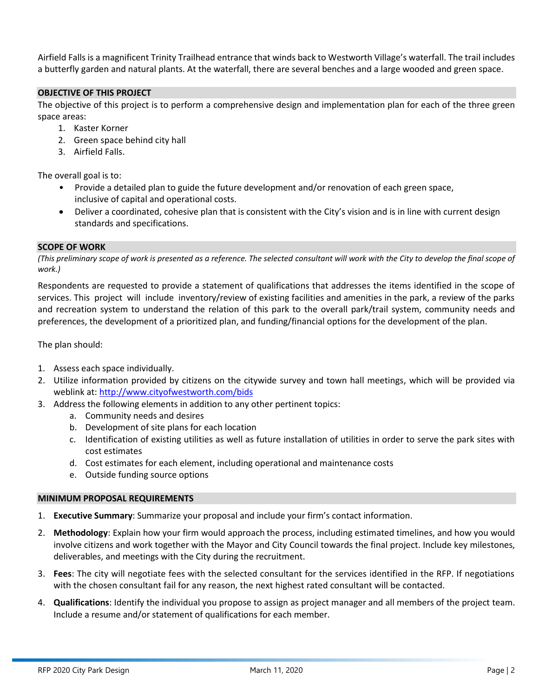Airfield Falls is a magnificent Trinity Trailhead entrance that winds back to Westworth Village's waterfall. The trail includes a butterfly garden and natural plants. At the waterfall, there are several benches and a large wooded and green space.

### **OBJECTIVE OF THIS PROJECT**

The objective of this project is to perform a comprehensive design and implementation plan for each of the three green space areas:

- 1. Kaster Korner
- 2. Green space behind city hall
- 3. Airfield Falls.

The overall goal is to:

- Provide a detailed plan to guide the future development and/or renovation of each green space, inclusive of capital and operational costs.
- Deliver a coordinated, cohesive plan that is consistent with the City's vision and is in line with current design standards and specifications.

#### **SCOPE OF WORK**

(This preliminary scope of work is presented as a reference. The selected consultant will work with the City to develop the final scope of *work.)*

Respondents are requested to provide a statement of qualifications that addresses the items identified in the scope of services. This project will include inventory/review of existing facilities and amenities in the park, a review of the parks and recreation system to understand the relation of this park to the overall park/trail system, community needs and preferences, the development of a prioritized plan, and funding/financial options for the development of the plan.

The plan should:

- 1. Assess each space individually.
- 2. Utilize information provided by citizens on the citywide survey and town hall meetings, which will be provided via weblink at: <http://www.cityofwestworth.com/bids>
- 3. Address the following elements in addition to any other pertinent topics:
	- a. Community needs and desires
	- b. Development of site plans for each location
	- c. Identification of existing utilities as well as future installation of utilities in order to serve the park sites with cost estimates
	- d. Cost estimates for each element, including operational and maintenance costs
	- e. Outside funding source options

#### **MINIMUM PROPOSAL REQUIREMENTS**

- 1. **Executive Summary**: Summarize your proposal and include your firm's contact information.
- 2. **Methodology**: Explain how your firm would approach the process, including estimated timelines, and how you would involve citizens and work together with the Mayor and City Council towards the final project. Include key milestones, deliverables, and meetings with the City during the recruitment.
- 3. **Fees**: The city will negotiate fees with the selected consultant for the services identified in the RFP. If negotiations with the chosen consultant fail for any reason, the next highest rated consultant will be contacted.
- 4. **Qualifications**: Identify the individual you propose to assign as project manager and all members of the project team. Include a resume and/or statement of qualifications for each member.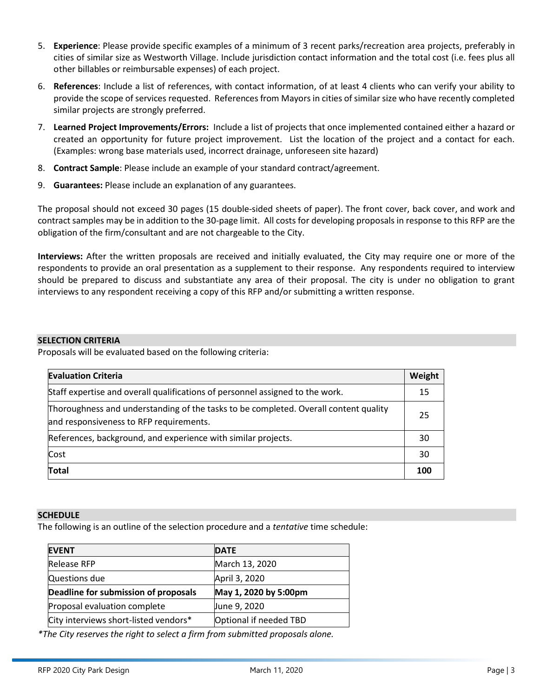- 5. **Experience**: Please provide specific examples of a minimum of 3 recent parks/recreation area projects, preferably in cities of similar size as Westworth Village. Include jurisdiction contact information and the total cost (i.e. fees plus all other billables or reimbursable expenses) of each project.
- 6. **References**: Include a list of references, with contact information, of at least 4 clients who can verify your ability to provide the scope of services requested. References from Mayors in cities of similar size who have recently completed similar projects are strongly preferred.
- 7. **Learned Project Improvements/Errors:** Include a list of projects that once implemented contained either a hazard or created an opportunity for future project improvement. List the location of the project and a contact for each. (Examples: wrong base materials used, incorrect drainage, unforeseen site hazard)
- 8. **Contract Sample**: Please include an example of your standard contract/agreement.
- 9. **Guarantees:** Please include an explanation of any guarantees.

The proposal should not exceed 30 pages (15 double-sided sheets of paper). The front cover, back cover, and work and contract samples may be in addition to the 30-page limit. All costs for developing proposals in response to this RFP are the obligation of the firm/consultant and are not chargeable to the City.

**Interviews:** After the written proposals are received and initially evaluated, the City may require one or more of the respondents to provide an oral presentation as a supplement to their response. Any respondents required to interview should be prepared to discuss and substantiate any area of their proposal. The city is under no obligation to grant interviews to any respondent receiving a copy of this RFP and/or submitting a written response.

## **SELECTION CRITERIA**

Proposals will be evaluated based on the following criteria:

| <b>Evaluation Criteria</b>                                                                                                      | Weight |
|---------------------------------------------------------------------------------------------------------------------------------|--------|
| Staff expertise and overall qualifications of personnel assigned to the work.                                                   | 15     |
| Thoroughness and understanding of the tasks to be completed. Overall content quality<br>and responsiveness to RFP requirements. | 25     |
| References, background, and experience with similar projects.                                                                   | 30     |
| Cost                                                                                                                            | 30     |
| <b>Total</b>                                                                                                                    | 100    |

#### **SCHEDULE**

The following is an outline of the selection procedure and a *tentative* time schedule:

| <b>EVENT</b>                          | <b>DATE</b>            |
|---------------------------------------|------------------------|
| <b>Release RFP</b>                    | March 13, 2020         |
| Questions due                         | April 3, 2020          |
| Deadline for submission of proposals  | May 1, 2020 by 5:00pm  |
| Proposal evaluation complete          | June 9, 2020           |
| City interviews short-listed vendors* | Optional if needed TBD |

*\*The City reserves the right to select a firm from submitted proposals alone.*